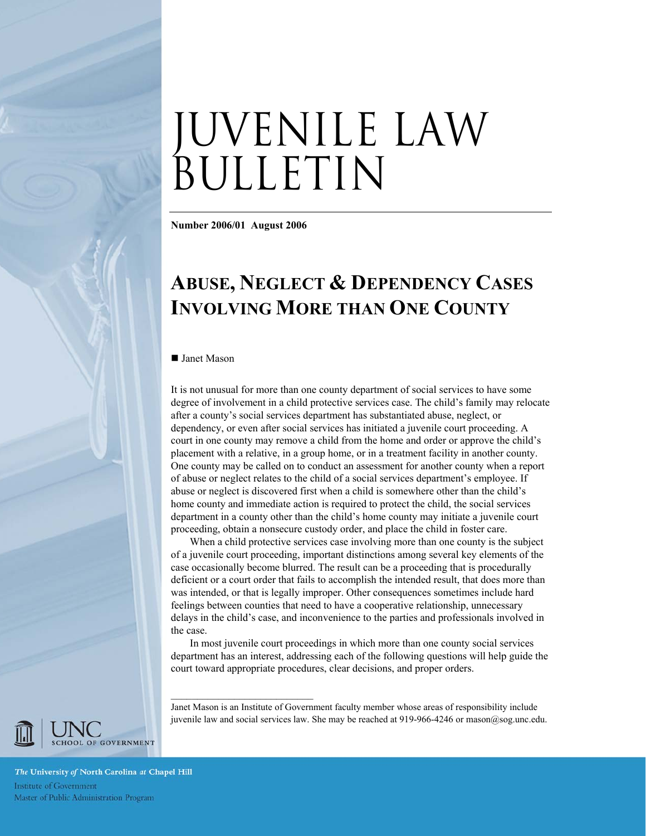# JUVENILE LAW BULLETIN

**Number 2006/01 August 2006** 

# **ABUSE, NEGLECT & DEPENDENCY CASES INVOLVING MORE THAN ONE COUNTY**

#### ■ Janet Mason

It is not unusual for more than one county department of social services to have some degree of involvement in a child protective services case. The child's family may relocate after a county's social services department has substantiated abuse, neglect, or dependency, or even after social services has initiated a juvenile court proceeding. A court in one county may remove a child from the home and order or approve the child's placement with a relative, in a group home, or in a treatment facility in another county. One county may be called on to conduct an assessment for another county when a report of abuse or neglect relates to the child of a social services department's employee. If abuse or neglect is discovered first when a child is somewhere other than the child's home county and immediate action is required to protect the child, the social services department in a county other than the child's home county may initiate a juvenile court proceeding, obtain a nonsecure custody order, and place the child in foster care.

When a child protective services case involving more than one county is the subject of a juvenile court proceeding, important distinctions among several key elements of the case occasionally become blurred. The result can be a proceeding that is procedurally deficient or a court order that fails to accomplish the intended result, that does more than was intended, or that is legally improper. Other consequences sometimes include hard feelings between counties that need to have a cooperative relationship, unnecessary delays in the child's case, and inconvenience to the parties and professionals involved in the case.

In most juvenile court proceedings in which more than one county social services department has an interest, addressing each of the following questions will help guide the court toward appropriate procedures, clear decisions, and proper orders.

 $\mathcal{L}_\text{max}$  , and the set of the set of the set of the set of the set of the set of the set of the set of the set of the set of the set of the set of the set of the set of the set of the set of the set of the set of the Janet Mason is an Institute of Government faculty member whose areas of responsibility include

juvenile law and social services law. She may be reached at 919-966-4246 or mason@sog.unc.edu.

CHOOL OF GOVERNMENT

The University of North Carolina at Chapel Hill Institute of Government<br>Master of Public Administration Program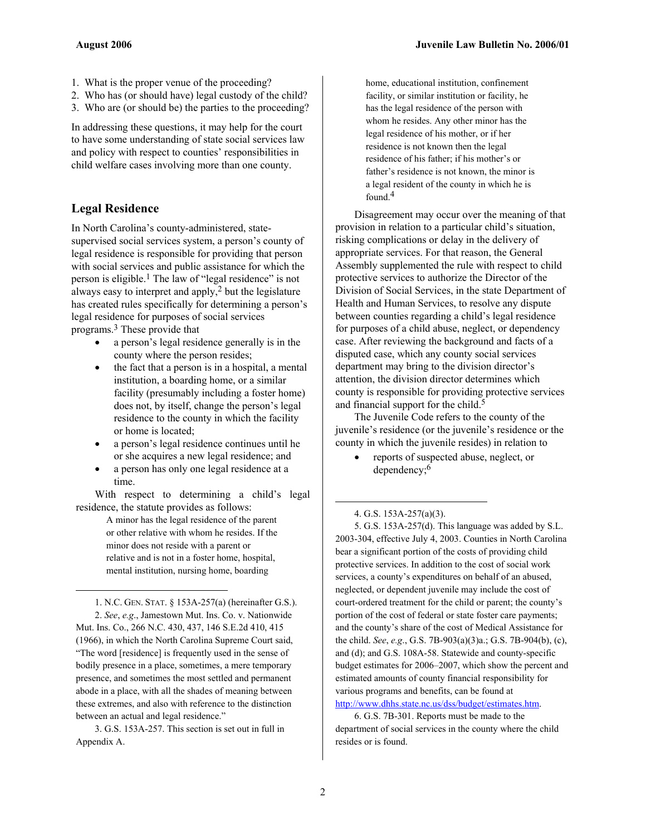- 1. What is the proper venue of the proceeding?
- 2. Who has (or should have) legal custody of the child?
- 3. Who are (or should be) the parties to the proceeding?

In addressing these questions, it may help for the court to have some understanding of state social services law and policy with respect to counties' responsibilities in child welfare cases involving more than one county.

#### **Legal Residence**

 $\overline{a}$ 

In North Carolina's county-administered, statesupervised social services system, a person's county of legal residence is responsible for providing that person with social services and public assistance for which the person is eligible.<sup>1</sup> The law of "legal residence" is not always easy to interpret and apply, $2$  but the legislature has created rules specifically for determining a person's legal residence for purposes of social services programs.3 These provide that

- a person's legal residence generally is in the county where the person resides;
- the fact that a person is in a hospital, a mental institution, a boarding home, or a similar facility (presumably including a foster home) does not, by itself, change the person's legal residence to the county in which the facility or home is located;
- a person's legal residence continues until he or she acquires a new legal residence; and
- a person has only one legal residence at a time.

With respect to determining a child's legal residence, the statute provides as follows:

> A minor has the legal residence of the parent or other relative with whom he resides. If the minor does not reside with a parent or relative and is not in a foster home, hospital, mental institution, nursing home, boarding

1. N.C. GEN. STAT. § 153A-257(a) (hereinafter G.S.). 2. *See*, *e.g*., Jamestown Mut. Ins. Co. v. Nationwide Mut. Ins. Co., 266 N.C. 430, 437, 146 S.E.2d 410, 415 (1966), in which the North Carolina Supreme Court said, "The word [residence] is frequently used in the sense of bodily presence in a place, sometimes, a mere temporary presence, and sometimes the most settled and permanent abode in a place, with all the shades of meaning between these extremes, and also with reference to the distinction between an actual and legal residence."

3. G.S. 153A-257. This section is set out in full in Appendix A.

home, educational institution, confinement facility, or similar institution or facility, he has the legal residence of the person with whom he resides. Any other minor has the legal residence of his mother, or if her residence is not known then the legal residence of his father; if his mother's or father's residence is not known, the minor is a legal resident of the county in which he is found.4

Disagreement may occur over the meaning of that provision in relation to a particular child's situation, risking complications or delay in the delivery of appropriate services. For that reason, the General Assembly supplemented the rule with respect to child protective services to authorize the Director of the Division of Social Services, in the state Department of Health and Human Services, to resolve any dispute between counties regarding a child's legal residence for purposes of a child abuse, neglect, or dependency case. After reviewing the background and facts of a disputed case, which any county social services department may bring to the division director's attention, the division director determines which county is responsible for providing protective services and financial support for the child.<sup>5</sup>

The Juvenile Code refers to the county of the juvenile's residence (or the juvenile's residence or the county in which the juvenile resides) in relation to

• reports of suspected abuse, neglect, or dependency;6

#### 4. G.S. 153A-257(a)(3).

 $\overline{a}$ 

5. G.S. 153A-257(d). This language was added by S.L. 2003-304, effective July 4, 2003. Counties in North Carolina bear a significant portion of the costs of providing child protective services. In addition to the cost of social work services, a county's expenditures on behalf of an abused, neglected, or dependent juvenile may include the cost of court-ordered treatment for the child or parent; the county's portion of the cost of federal or state foster care payments; and the county's share of the cost of Medical Assistance for the child. *See*, *e.g*., G.S. 7B-903(a)(3)a.; G.S. 7B-904(b), (c), and (d); and G.S. 108A-58. Statewide and county-specific budget estimates for 2006–2007, which show the percent and estimated amounts of county financial responsibility for various programs and benefits, can be found at http://www.dhhs.state.nc.us/dss/budget/estimates.htm.

6. G.S. 7B-301. Reports must be made to the department of social services in the county where the child resides or is found.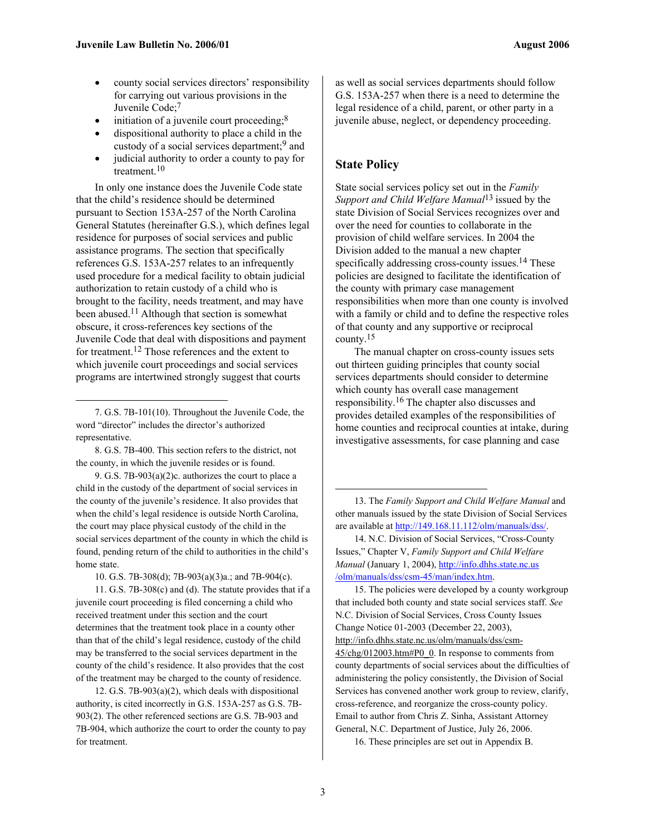- county social services directors' responsibility for carrying out various provisions in the Juvenile Code;<sup>7</sup>
- initiation of a juvenile court proceeding; $8$
- dispositional authority to place a child in the custody of a social services department;9 and
- judicial authority to order a county to pay for treatment.10

In only one instance does the Juvenile Code state that the child's residence should be determined pursuant to Section 153A-257 of the North Carolina General Statutes (hereinafter G.S.), which defines legal residence for purposes of social services and public assistance programs. The section that specifically references G.S. 153A-257 relates to an infrequently used procedure for a medical facility to obtain judicial authorization to retain custody of a child who is brought to the facility, needs treatment, and may have been abused.11 Although that section is somewhat obscure, it cross-references key sections of the Juvenile Code that deal with dispositions and payment for treatment.12 Those references and the extent to which juvenile court proceedings and social services programs are intertwined strongly suggest that courts

7. G.S. 7B-101(10). Throughout the Juvenile Code, the word "director" includes the director's authorized representative.

 $\overline{a}$ 

8. G.S. 7B-400. This section refers to the district, not the county, in which the juvenile resides or is found.

9. G.S. 7B-903(a)(2)c. authorizes the court to place a child in the custody of the department of social services in the county of the juvenile's residence. It also provides that when the child's legal residence is outside North Carolina, the court may place physical custody of the child in the social services department of the county in which the child is found, pending return of the child to authorities in the child's home state.

10. G.S. 7B-308(d); 7B-903(a)(3)a.; and 7B-904(c).

11. G.S. 7B-308(c) and (d). The statute provides that if a juvenile court proceeding is filed concerning a child who received treatment under this section and the court determines that the treatment took place in a county other than that of the child's legal residence, custody of the child may be transferred to the social services department in the county of the child's residence. It also provides that the cost of the treatment may be charged to the county of residence.

12. G.S. 7B-903(a)(2), which deals with dispositional authority, is cited incorrectly in G.S. 153A-257 as G.S. 7B-903(2). The other referenced sections are G.S. 7B-903 and 7B-904, which authorize the court to order the county to pay for treatment.

as well as social services departments should follow G.S. 153A-257 when there is a need to determine the legal residence of a child, parent, or other party in a juvenile abuse, neglect, or dependency proceeding.

#### **State Policy**

State social services policy set out in the *Family Support and Child Welfare Manual*13 issued by the state Division of Social Services recognizes over and over the need for counties to collaborate in the provision of child welfare services. In 2004 the Division added to the manual a new chapter specifically addressing cross-county issues.<sup>14</sup> These policies are designed to facilitate the identification of the county with primary case management responsibilities when more than one county is involved with a family or child and to define the respective roles of that county and any supportive or reciprocal county.15

The manual chapter on cross-county issues sets out thirteen guiding principles that county social services departments should consider to determine which county has overall case management responsibility.16 The chapter also discusses and provides detailed examples of the responsibilities of home counties and reciprocal counties at intake, during investigative assessments, for case planning and case

13. The *Family Support and Child Welfare Manual* and other manuals issued by the state Division of Social Services are available at http://149.168.11.112/olm/manuals/dss/.

14. N.C. Division of Social Services, "Cross-County Issues," Chapter V, *Family Support and Child Welfare Manual* (January 1, 2004), http://info.dhhs.state.nc.us /olm/manuals/dss/csm-45/man/index.htm.

15. The policies were developed by a county workgroup that included both county and state social services staff. *See* N.C. Division of Social Services, Cross County Issues Change Notice 01-2003 (December 22, 2003), http://info.dhhs.state.nc.us/olm/manuals/dss/csm-

45/chg/012003.htm#P0\_0. In response to comments from county departments of social services about the difficulties of administering the policy consistently, the Division of Social Services has convened another work group to review, clarify, cross-reference, and reorganize the cross-county policy. Email to author from Chris Z. Sinha, Assistant Attorney General, N.C. Department of Justice, July 26, 2006.

16. These principles are set out in Appendix B.

 $\overline{a}$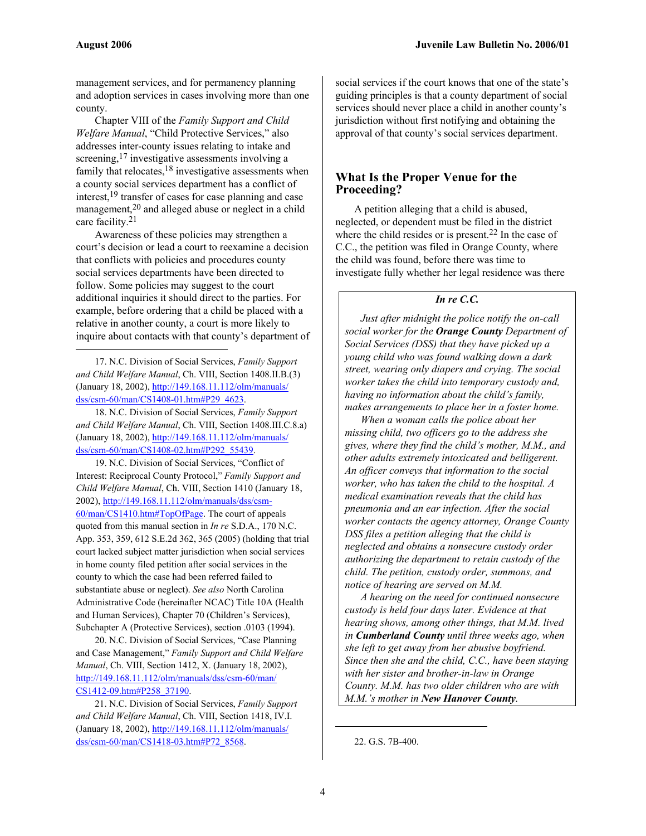$\overline{a}$ 

management services, and for permanency planning and adoption services in cases involving more than one county.

Chapter VIII of the *Family Support and Child Welfare Manual*, "Child Protective Services," also addresses inter-county issues relating to intake and screening,<sup>17</sup> investigative assessments involving a family that relocates,  $18$  investigative assessments when a county social services department has a conflict of interest,19 transfer of cases for case planning and case management,20 and alleged abuse or neglect in a child care facility.21

Awareness of these policies may strengthen a court's decision or lead a court to reexamine a decision that conflicts with policies and procedures county social services departments have been directed to follow. Some policies may suggest to the court additional inquiries it should direct to the parties. For example, before ordering that a child be placed with a relative in another county, a court is more likely to inquire about contacts with that county's department of

17. N.C. Division of Social Services, *Family Support and Child Welfare Manual*, Ch. VIII, Section 1408.II.B.(3) (January 18, 2002), http://149.168.11.112/olm/manuals/ dss/csm-60/man/CS1408-01.htm#P29\_4623.

18. N.C. Division of Social Services, *Family Support and Child Welfare Manual*, Ch. VIII, Section 1408.III.C.8.a) (January 18, 2002), http://149.168.11.112/olm/manuals/ dss/csm-60/man/CS1408-02.htm#P292\_55439.

19. N.C. Division of Social Services, "Conflict of Interest: Reciprocal County Protocol," *Family Support and Child Welfare Manual*, Ch. VIII, Section 1410 (January 18, 2002), http://149.168.11.112/olm/manuals/dss/csm-60/man/CS1410.htm#TopOfPage. The court of appeals quoted from this manual section in *In re* S.D.A., 170 N.C. App. 353, 359, 612 S.E.2d 362, 365 (2005) (holding that trial court lacked subject matter jurisdiction when social services in home county filed petition after social services in the county to which the case had been referred failed to substantiate abuse or neglect). *See also* North Carolina Administrative Code (hereinafter NCAC) Title 10A (Health and Human Services), Chapter 70 (Children's Services), Subchapter A (Protective Services), section .0103 (1994).

20. N.C. Division of Social Services, "Case Planning and Case Management," *Family Support and Child Welfare Manual*, Ch. VIII, Section 1412, X. (January 18, 2002), http://149.168.11.112/olm/manuals/dss/csm-60/man/ CS1412-09.htm#P258\_37190.

21. N.C. Division of Social Services, *Family Support and Child Welfare Manual*, Ch. VIII, Section 1418, IV.I. (January 18, 2002), http://149.168.11.112/olm/manuals/ dss/csm-60/man/CS1418-03.htm#P72\_8568.

social services if the court knows that one of the state's guiding principles is that a county department of social services should never place a child in another county's jurisdiction without first notifying and obtaining the approval of that county's social services department.

#### **What Is the Proper Venue for the Proceeding?**

A petition alleging that a child is abused, neglected, or dependent must be filed in the district where the child resides or is present.<sup>22</sup> In the case of C.C., the petition was filed in Orange County, where the child was found, before there was time to investigate fully whether her legal residence was there

#### *In re C.C.*

 *Just after midnight the police notify the on-call social worker for the Orange County Department of Social Services (DSS) that they have picked up a young child who was found walking down a dark street, wearing only diapers and crying. The social worker takes the child into temporary custody and, having no information about the child's family, makes arrangements to place her in a foster home.* 

 *When a woman calls the police about her missing child, two officers go to the address she gives, where they find the child's mother, M.M., and other adults extremely intoxicated and belligerent. An officer conveys that information to the social worker, who has taken the child to the hospital. A medical examination reveals that the child has pneumonia and an ear infection. After the social worker contacts the agency attorney, Orange County DSS files a petition alleging that the child is neglected and obtains a nonsecure custody order authorizing the department to retain custody of the child. The petition, custody order, summons, and notice of hearing are served on M.M.* 

 *A hearing on the need for continued nonsecure custody is held four days later. Evidence at that hearing shows, among other things, that M.M. lived in Cumberland County until three weeks ago, when she left to get away from her abusive boyfriend. Since then she and the child, C.C., have been staying with her sister and brother-in-law in Orange County. M.M. has two older children who are with M.M.'s mother in New Hanover County.* 

 $\overline{a}$ 

<sup>22.</sup> G.S. 7B-400.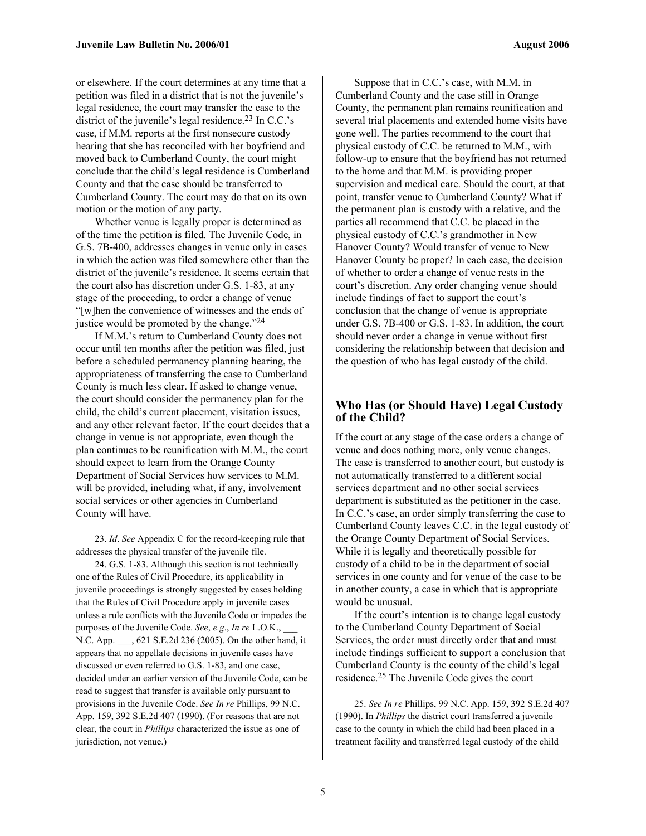or elsewhere. If the court determines at any time that a petition was filed in a district that is not the juvenile's legal residence, the court may transfer the case to the district of the juvenile's legal residence.<sup>23</sup> In C.C.'s case, if M.M. reports at the first nonsecure custody hearing that she has reconciled with her boyfriend and moved back to Cumberland County, the court might conclude that the child's legal residence is Cumberland County and that the case should be transferred to Cumberland County. The court may do that on its own motion or the motion of any party.

Whether venue is legally proper is determined as of the time the petition is filed. The Juvenile Code, in G.S. 7B-400, addresses changes in venue only in cases in which the action was filed somewhere other than the district of the juvenile's residence. It seems certain that the court also has discretion under G.S. 1-83, at any stage of the proceeding, to order a change of venue "[w]hen the convenience of witnesses and the ends of justice would be promoted by the change. $124$ 

If M.M.'s return to Cumberland County does not occur until ten months after the petition was filed, just before a scheduled permanency planning hearing, the appropriateness of transferring the case to Cumberland County is much less clear. If asked to change venue, the court should consider the permanency plan for the child, the child's current placement, visitation issues, and any other relevant factor. If the court decides that a change in venue is not appropriate, even though the plan continues to be reunification with M.M., the court should expect to learn from the Orange County Department of Social Services how services to M.M. will be provided, including what, if any, involvement social services or other agencies in Cumberland County will have.

 $\overline{a}$ 

24. G.S. 1-83. Although this section is not technically one of the Rules of Civil Procedure, its applicability in juvenile proceedings is strongly suggested by cases holding that the Rules of Civil Procedure apply in juvenile cases unless a rule conflicts with the Juvenile Code or impedes the purposes of the Juvenile Code. *See*, *e.g*., *In re* L.O.K., \_\_\_ N.C. App. \_\_\_, 621 S.E.2d 236 (2005). On the other hand, it appears that no appellate decisions in juvenile cases have discussed or even referred to G.S. 1-83, and one case, decided under an earlier version of the Juvenile Code, can be read to suggest that transfer is available only pursuant to provisions in the Juvenile Code. *See In re* Phillips, 99 N.C. App. 159, 392 S.E.2d 407 (1990). (For reasons that are not clear, the court in *Phillips* characterized the issue as one of jurisdiction, not venue.)

Suppose that in C.C.'s case, with M.M. in Cumberland County and the case still in Orange County, the permanent plan remains reunification and several trial placements and extended home visits have gone well. The parties recommend to the court that physical custody of C.C. be returned to M.M., with follow-up to ensure that the boyfriend has not returned to the home and that M.M. is providing proper supervision and medical care. Should the court, at that point, transfer venue to Cumberland County? What if the permanent plan is custody with a relative, and the parties all recommend that C.C. be placed in the physical custody of C.C.'s grandmother in New Hanover County? Would transfer of venue to New Hanover County be proper? In each case, the decision of whether to order a change of venue rests in the court's discretion. Any order changing venue should include findings of fact to support the court's conclusion that the change of venue is appropriate under G.S. 7B-400 or G.S. 1-83. In addition, the court should never order a change in venue without first considering the relationship between that decision and the question of who has legal custody of the child.

#### **Who Has (or Should Have) Legal Custody of the Child?**

If the court at any stage of the case orders a change of venue and does nothing more, only venue changes. The case is transferred to another court, but custody is not automatically transferred to a different social services department and no other social services department is substituted as the petitioner in the case. In C.C.'s case, an order simply transferring the case to Cumberland County leaves C.C. in the legal custody of the Orange County Department of Social Services. While it is legally and theoretically possible for custody of a child to be in the department of social services in one county and for venue of the case to be in another county, a case in which that is appropriate would be unusual.

If the court's intention is to change legal custody to the Cumberland County Department of Social Services, the order must directly order that and must include findings sufficient to support a conclusion that Cumberland County is the county of the child's legal residence.25 The Juvenile Code gives the court

1

<sup>23.</sup> *Id*. *See* Appendix C for the record-keeping rule that addresses the physical transfer of the juvenile file.

<sup>25.</sup> *See In re* Phillips, 99 N.C. App. 159, 392 S.E.2d 407 (1990). In *Phillips* the district court transferred a juvenile case to the county in which the child had been placed in a treatment facility and transferred legal custody of the child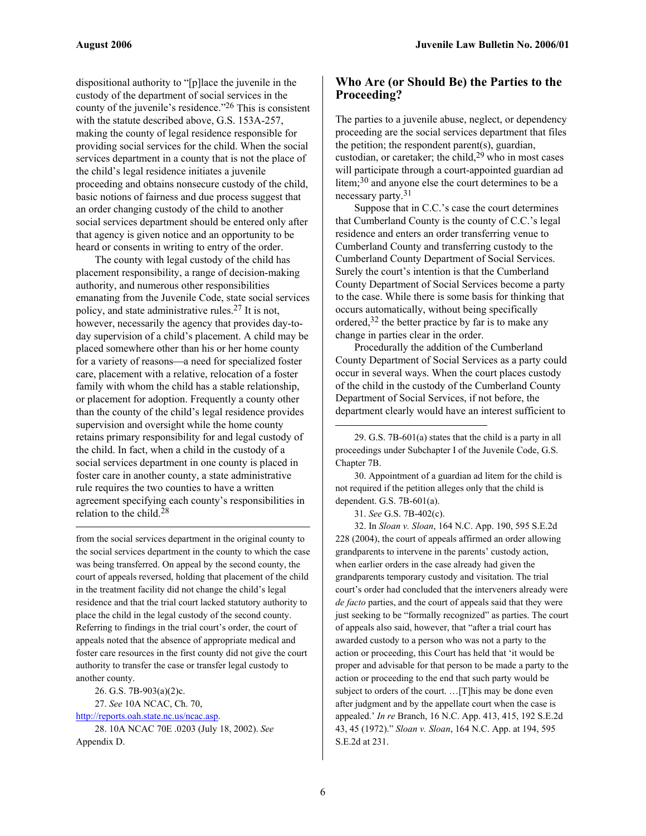dispositional authority to "[p]lace the juvenile in the custody of the department of social services in the county of the juvenile's residence."26 This is consistent with the statute described above, G.S. 153A-257, making the county of legal residence responsible for providing social services for the child. When the social services department in a county that is not the place of the child's legal residence initiates a juvenile proceeding and obtains nonsecure custody of the child, basic notions of fairness and due process suggest that an order changing custody of the child to another social services department should be entered only after that agency is given notice and an opportunity to be heard or consents in writing to entry of the order.

The county with legal custody of the child has placement responsibility, a range of decision-making authority, and numerous other responsibilities emanating from the Juvenile Code, state social services policy, and state administrative rules.27 It is not, however, necessarily the agency that provides day-today supervision of a child's placement. A child may be placed somewhere other than his or her home county for a variety of reasons—a need for specialized foster care, placement with a relative, relocation of a foster family with whom the child has a stable relationship, or placement for adoption. Frequently a county other than the county of the child's legal residence provides supervision and oversight while the home county retains primary responsibility for and legal custody of the child. In fact, when a child in the custody of a social services department in one county is placed in foster care in another county, a state administrative rule requires the two counties to have a written agreement specifying each county's responsibilities in relation to the child.28

from the social services department in the original county to the social services department in the county to which the case was being transferred. On appeal by the second county, the court of appeals reversed, holding that placement of the child in the treatment facility did not change the child's legal residence and that the trial court lacked statutory authority to place the child in the legal custody of the second county. Referring to findings in the trial court's order, the court of appeals noted that the absence of appropriate medical and foster care resources in the first county did not give the court authority to transfer the case or transfer legal custody to another county.

26. G.S. 7B-903(a)(2)c.

27. *See* 10A NCAC, Ch. 70,

http://reports.oah.state.nc.us/ncac.asp. 28. 10A NCAC 70E .0203 (July 18, 2002). *See*

Appendix D.

 $\overline{a}$ 

#### **Who Are (or Should Be) the Parties to the Proceeding?**

The parties to a juvenile abuse, neglect, or dependency proceeding are the social services department that files the petition; the respondent parent(s), guardian, custodian, or caretaker; the child,<sup>29</sup> who in most cases will participate through a court-appointed guardian ad litem;30 and anyone else the court determines to be a necessary party.<sup>31</sup>

Suppose that in C.C.'s case the court determines that Cumberland County is the county of C.C.'s legal residence and enters an order transferring venue to Cumberland County and transferring custody to the Cumberland County Department of Social Services. Surely the court's intention is that the Cumberland County Department of Social Services become a party to the case. While there is some basis for thinking that occurs automatically, without being specifically ordered,32 the better practice by far is to make any change in parties clear in the order.

Procedurally the addition of the Cumberland County Department of Social Services as a party could occur in several ways. When the court places custody of the child in the custody of the Cumberland County Department of Social Services, if not before, the department clearly would have an interest sufficient to

29. G.S. 7B-601(a) states that the child is a party in all proceedings under Subchapter I of the Juvenile Code, G.S. Chapter 7B.

30. Appointment of a guardian ad litem for the child is not required if the petition alleges only that the child is dependent. G.S. 7B-601(a).

31. *See* G.S. 7B-402(c).

1

32. In *Sloan v. Sloan*, 164 N.C. App. 190, 595 S.E.2d 228 (2004), the court of appeals affirmed an order allowing grandparents to intervene in the parents' custody action, when earlier orders in the case already had given the grandparents temporary custody and visitation. The trial court's order had concluded that the interveners already were *de facto* parties, and the court of appeals said that they were just seeking to be "formally recognized" as parties. The court of appeals also said, however, that "after a trial court has awarded custody to a person who was not a party to the action or proceeding, this Court has held that 'it would be proper and advisable for that person to be made a party to the action or proceeding to the end that such party would be subject to orders of the court. …[T]his may be done even after judgment and by the appellate court when the case is appealed.' *In re* Branch, 16 N.C. App. 413, 415, 192 S.E.2d 43, 45 (1972)." *Sloan v. Sloan*, 164 N.C. App. at 194, 595 S.E.2d at 231.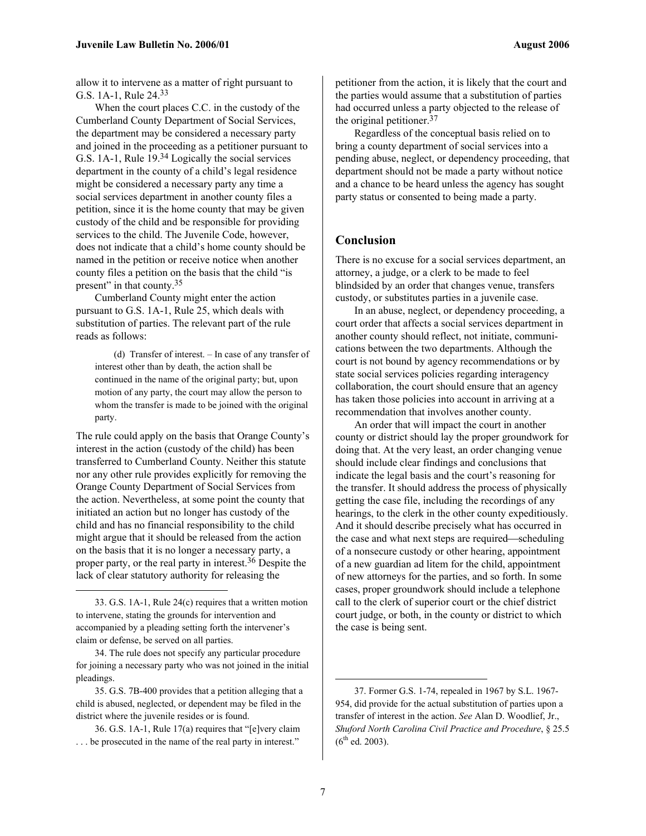allow it to intervene as a matter of right pursuant to G.S. 1A-1, Rule 24.33

When the court places C.C. in the custody of the Cumberland County Department of Social Services, the department may be considered a necessary party and joined in the proceeding as a petitioner pursuant to G.S. 1A-1, Rule 19.34 Logically the social services department in the county of a child's legal residence might be considered a necessary party any time a social services department in another county files a petition, since it is the home county that may be given custody of the child and be responsible for providing services to the child. The Juvenile Code, however, does not indicate that a child's home county should be named in the petition or receive notice when another county files a petition on the basis that the child "is present" in that county.<sup>35</sup>

Cumberland County might enter the action pursuant to G.S. 1A-1, Rule 25, which deals with substitution of parties. The relevant part of the rule reads as follows:

(d) Transfer of interest. – In case of any transfer of interest other than by death, the action shall be continued in the name of the original party; but, upon motion of any party, the court may allow the person to whom the transfer is made to be joined with the original party.

The rule could apply on the basis that Orange County's interest in the action (custody of the child) has been transferred to Cumberland County. Neither this statute nor any other rule provides explicitly for removing the Orange County Department of Social Services from the action. Nevertheless, at some point the county that initiated an action but no longer has custody of the child and has no financial responsibility to the child might argue that it should be released from the action on the basis that it is no longer a necessary party, a proper party, or the real party in interest.36 Despite the lack of clear statutory authority for releasing the

1

35. G.S. 7B-400 provides that a petition alleging that a child is abused, neglected, or dependent may be filed in the district where the juvenile resides or is found.

36. G.S. 1A-1, Rule 17(a) requires that "[e]very claim . . . be prosecuted in the name of the real party in interest."

petitioner from the action, it is likely that the court and the parties would assume that a substitution of parties had occurred unless a party objected to the release of the original petitioner.<sup>37</sup>

Regardless of the conceptual basis relied on to bring a county department of social services into a pending abuse, neglect, or dependency proceeding, that department should not be made a party without notice and a chance to be heard unless the agency has sought party status or consented to being made a party.

#### **Conclusion**

There is no excuse for a social services department, an attorney, a judge, or a clerk to be made to feel blindsided by an order that changes venue, transfers custody, or substitutes parties in a juvenile case.

In an abuse, neglect, or dependency proceeding, a court order that affects a social services department in another county should reflect, not initiate, communications between the two departments. Although the court is not bound by agency recommendations or by state social services policies regarding interagency collaboration, the court should ensure that an agency has taken those policies into account in arriving at a recommendation that involves another county.

An order that will impact the court in another county or district should lay the proper groundwork for doing that. At the very least, an order changing venue should include clear findings and conclusions that indicate the legal basis and the court's reasoning for the transfer. It should address the process of physically getting the case file, including the recordings of any hearings, to the clerk in the other county expeditiously. And it should describe precisely what has occurred in the case and what next steps are required—scheduling of a nonsecure custody or other hearing, appointment of a new guardian ad litem for the child, appointment of new attorneys for the parties, and so forth. In some cases, proper groundwork should include a telephone call to the clerk of superior court or the chief district court judge, or both, in the county or district to which the case is being sent.

 $\overline{a}$ 

<sup>33.</sup> G.S. 1A-1, Rule 24(c) requires that a written motion to intervene, stating the grounds for intervention and accompanied by a pleading setting forth the intervener's claim or defense, be served on all parties.

<sup>34.</sup> The rule does not specify any particular procedure for joining a necessary party who was not joined in the initial pleadings.

<sup>37.</sup> Former G.S. 1-74, repealed in 1967 by S.L. 1967- 954, did provide for the actual substitution of parties upon a transfer of interest in the action. *See* Alan D. Woodlief, Jr., *Shuford North Carolina Civil Practice and Procedure*, § 25.5  $(6^{th}$  ed. 2003).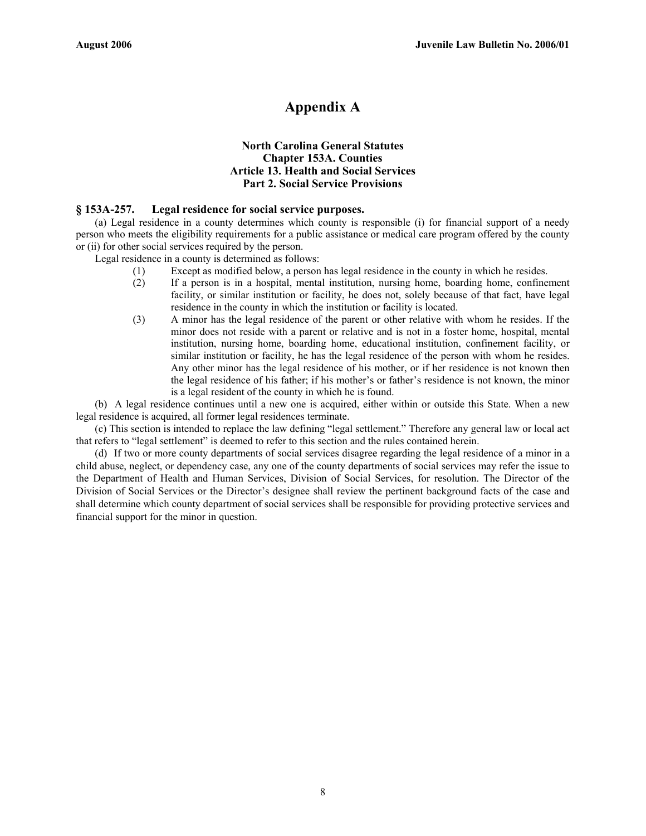# **Appendix A**

#### **North Carolina General Statutes Chapter 153A. Counties Article 13. Health and Social Services Part 2. Social Service Provisions**

#### **§ 153A-257. Legal residence for social service purposes.**

(a) Legal residence in a county determines which county is responsible (i) for financial support of a needy person who meets the eligibility requirements for a public assistance or medical care program offered by the county or (ii) for other social services required by the person.

Legal residence in a county is determined as follows:

- (1) Except as modified below, a person has legal residence in the county in which he resides.
- (2) If a person is in a hospital, mental institution, nursing home, boarding home, confinement facility, or similar institution or facility, he does not, solely because of that fact, have legal residence in the county in which the institution or facility is located.
- (3) A minor has the legal residence of the parent or other relative with whom he resides. If the minor does not reside with a parent or relative and is not in a foster home, hospital, mental institution, nursing home, boarding home, educational institution, confinement facility, or similar institution or facility, he has the legal residence of the person with whom he resides. Any other minor has the legal residence of his mother, or if her residence is not known then the legal residence of his father; if his mother's or father's residence is not known, the minor is a legal resident of the county in which he is found.

(b) A legal residence continues until a new one is acquired, either within or outside this State. When a new legal residence is acquired, all former legal residences terminate.

(c) This section is intended to replace the law defining "legal settlement." Therefore any general law or local act that refers to "legal settlement" is deemed to refer to this section and the rules contained herein.

(d) If two or more county departments of social services disagree regarding the legal residence of a minor in a child abuse, neglect, or dependency case, any one of the county departments of social services may refer the issue to the Department of Health and Human Services, Division of Social Services, for resolution. The Director of the Division of Social Services or the Director's designee shall review the pertinent background facts of the case and shall determine which county department of social services shall be responsible for providing protective services and financial support for the minor in question.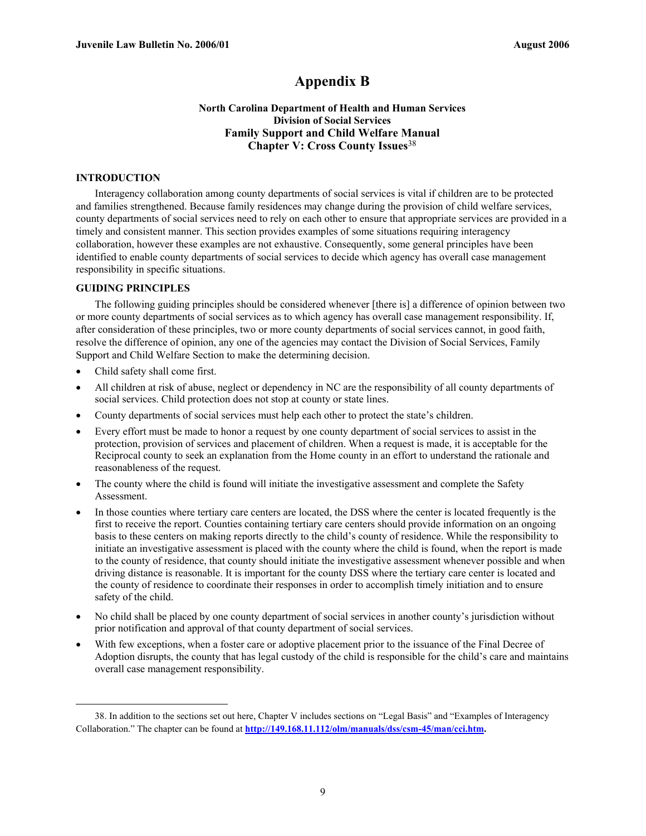# **Appendix B**

#### **North Carolina Department of Health and Human Services Division of Social Services Family Support and Child Welfare Manual Chapter V: Cross County Issues**<sup>38</sup>

#### **INTRODUCTION**

Interagency collaboration among county departments of social services is vital if children are to be protected and families strengthened. Because family residences may change during the provision of child welfare services, county departments of social services need to rely on each other to ensure that appropriate services are provided in a timely and consistent manner. This section provides examples of some situations requiring interagency collaboration, however these examples are not exhaustive. Consequently, some general principles have been identified to enable county departments of social services to decide which agency has overall case management responsibility in specific situations.

#### **GUIDING PRINCIPLES**

The following guiding principles should be considered whenever [there is] a difference of opinion between two or more county departments of social services as to which agency has overall case management responsibility. If, after consideration of these principles, two or more county departments of social services cannot, in good faith, resolve the difference of opinion, any one of the agencies may contact the Division of Social Services, Family Support and Child Welfare Section to make the determining decision.

• Child safety shall come first.

1

- All children at risk of abuse, neglect or dependency in NC are the responsibility of all county departments of social services. Child protection does not stop at county or state lines.
- County departments of social services must help each other to protect the state's children.
- Every effort must be made to honor a request by one county department of social services to assist in the protection, provision of services and placement of children. When a request is made, it is acceptable for the Reciprocal county to seek an explanation from the Home county in an effort to understand the rationale and reasonableness of the request.
- The county where the child is found will initiate the investigative assessment and complete the Safety Assessment.
- In those counties where tertiary care centers are located, the DSS where the center is located frequently is the first to receive the report. Counties containing tertiary care centers should provide information on an ongoing basis to these centers on making reports directly to the child's county of residence. While the responsibility to initiate an investigative assessment is placed with the county where the child is found, when the report is made to the county of residence, that county should initiate the investigative assessment whenever possible and when driving distance is reasonable. It is important for the county DSS where the tertiary care center is located and the county of residence to coordinate their responses in order to accomplish timely initiation and to ensure safety of the child.
- No child shall be placed by one county department of social services in another county's jurisdiction without prior notification and approval of that county department of social services.
- With few exceptions, when a foster care or adoptive placement prior to the issuance of the Final Decree of Adoption disrupts, the county that has legal custody of the child is responsible for the child's care and maintains overall case management responsibility.

<sup>38.</sup> In addition to the sections set out here, Chapter V includes sections on "Legal Basis" and "Examples of Interagency Collaboration." The chapter can be found at **http://149.168.11.112/olm/manuals/dss/csm-45/man/cci.htm.**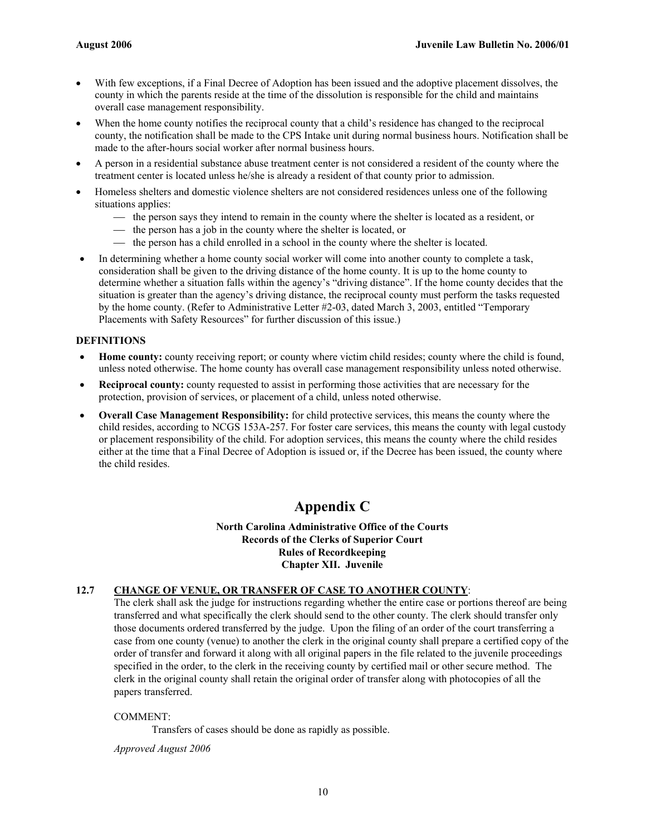- With few exceptions, if a Final Decree of Adoption has been issued and the adoptive placement dissolves, the county in which the parents reside at the time of the dissolution is responsible for the child and maintains overall case management responsibility.
- When the home county notifies the reciprocal county that a child's residence has changed to the reciprocal county, the notification shall be made to the CPS Intake unit during normal business hours. Notification shall be made to the after-hours social worker after normal business hours.
- A person in a residential substance abuse treatment center is not considered a resident of the county where the treatment center is located unless he/she is already a resident of that county prior to admission.
- Homeless shelters and domestic violence shelters are not considered residences unless one of the following situations applies:
	- $\frac{1}{10}$  the person says they intend to remain in the county where the shelter is located as a resident, or
	- $\frac{1}{1}$  the person has a job in the county where the shelter is located, or
	- the person has a child enrolled in a school in the county where the shelter is located.
- In determining whether a home county social worker will come into another county to complete a task, consideration shall be given to the driving distance of the home county. It is up to the home county to determine whether a situation falls within the agency's "driving distance". If the home county decides that the situation is greater than the agency's driving distance, the reciprocal county must perform the tasks requested by the home county. (Refer to Administrative Letter #2-03, dated March 3, 2003, entitled "Temporary Placements with Safety Resources" for further discussion of this issue.)

#### **DEFINITIONS**

- **Home county:** county receiving report; or county where victim child resides; county where the child is found, unless noted otherwise. The home county has overall case management responsibility unless noted otherwise.
- **Reciprocal county:** county requested to assist in performing those activities that are necessary for the protection, provision of services, or placement of a child, unless noted otherwise.
- **Overall Case Management Responsibility:** for child protective services, this means the county where the child resides, according to NCGS 153A-257. For foster care services, this means the county with legal custody or placement responsibility of the child. For adoption services, this means the county where the child resides either at the time that a Final Decree of Adoption is issued or, if the Decree has been issued, the county where the child resides.

# **Appendix C**

#### **North Carolina Administrative Office of the Courts Records of the Clerks of Superior Court Rules of Recordkeeping Chapter XII. Juvenile**

#### **12.7 CHANGE OF VENUE, OR TRANSFER OF CASE TO ANOTHER COUNTY**:

 The clerk shall ask the judge for instructions regarding whether the entire case or portions thereof are being transferred and what specifically the clerk should send to the other county. The clerk should transfer only those documents ordered transferred by the judge. Upon the filing of an order of the court transferring a case from one county (venue) to another the clerk in the original county shall prepare a certified copy of the order of transfer and forward it along with all original papers in the file related to the juvenile proceedings specified in the order, to the clerk in the receiving county by certified mail or other secure method. The clerk in the original county shall retain the original order of transfer along with photocopies of all the papers transferred.

#### COMMENT:

Transfers of cases should be done as rapidly as possible.

 *Approved August 2006*